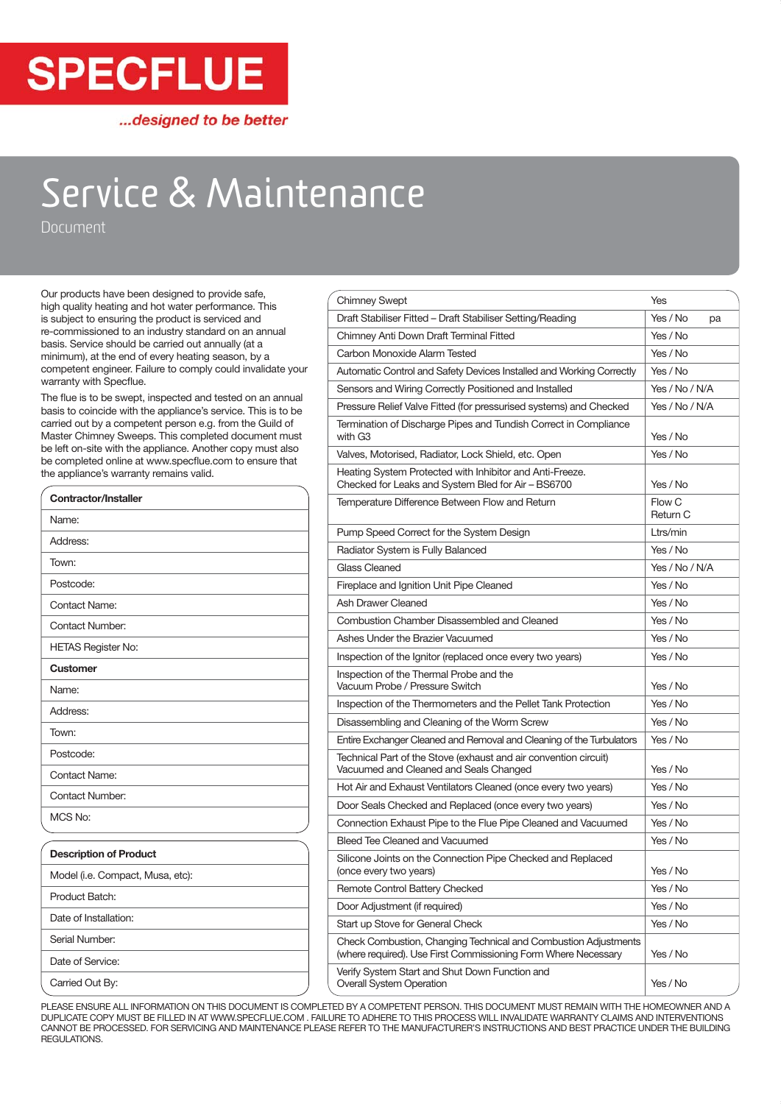

...designed to be better

# Service & Maintenance

Document

Our products have been designed to provide safe, high quality heating and hot water performance. This is subject to ensuring the product is serviced and re-commissioned to an industry standard on an annual basis. Service should be carried out annually (at a minimum), at the end of every heating season, by a competent engineer. Failure to comply could invalidate your warranty with Specflue.

The flue is to be swept, inspected and tested on an annual basis to coincide with the appliance's service. This is to be carried out by a competent person e.g. from the Guild of Master Chimney Sweeps. This completed document must be left on-site with the appliance. Another copy must also be completed online at www.specflue.com to ensure that the appliance's warranty remains valid.

| Contractor/Installer             |  |
|----------------------------------|--|
| Name:                            |  |
| Address:                         |  |
| Town:                            |  |
| Postcode:                        |  |
| <b>Contact Name:</b>             |  |
| <b>Contact Number:</b>           |  |
| <b>HETAS Register No:</b>        |  |
| <b>Customer</b>                  |  |
| Name:                            |  |
| Address:                         |  |
| Town:                            |  |
| Postcode:                        |  |
| <b>Contact Name:</b>             |  |
| <b>Contact Number:</b>           |  |
| MCS No:                          |  |
|                                  |  |
| <b>Description of Product</b>    |  |
| Model (i.e. Compact, Musa, etc): |  |
| $\sim$ $ \sim$ $\sim$<br>$\sim$  |  |

| <b>Description of Product</b>    |
|----------------------------------|
| Model (i.e. Compact, Musa, etc): |
| Product Batch:                   |
| Date of Installation:            |
| Serial Number:                   |
| Date of Service:                 |
| Carried Out By:                  |

| <b>Chimney Swept</b>                                                                                                              | Yes                |
|-----------------------------------------------------------------------------------------------------------------------------------|--------------------|
| Draft Stabiliser Fitted - Draft Stabiliser Setting/Reading                                                                        | Yes / No<br>pa     |
| Chimney Anti Down Draft Terminal Fitted                                                                                           | Yes / No           |
| Carbon Monoxide Alarm Tested                                                                                                      | Yes / No           |
| Automatic Control and Safety Devices Installed and Working Correctly                                                              | Yes / No           |
| Sensors and Wiring Correctly Positioned and Installed                                                                             | Yes / No / N/A     |
| Pressure Relief Valve Fitted (for pressurised systems) and Checked                                                                | Yes / No / N/A     |
| Termination of Discharge Pipes and Tundish Correct in Compliance<br>with G3                                                       | Yes / No           |
| Valves, Motorised, Radiator, Lock Shield, etc. Open                                                                               | Yes / No           |
| Heating System Protected with Inhibitor and Anti-Freeze.<br>Checked for Leaks and System Bled for Air - BS6700                    | Yes / No           |
| Temperature Difference Between Flow and Return                                                                                    | Flow C<br>Return C |
| Pump Speed Correct for the System Design                                                                                          | Ltrs/min           |
| Radiator System is Fully Balanced                                                                                                 | Yes / No           |
| Glass Cleaned                                                                                                                     | Yes / No / N/A     |
| Fireplace and Ignition Unit Pipe Cleaned                                                                                          | Yes / No           |
| Ash Drawer Cleaned                                                                                                                | Yes / No           |
| Combustion Chamber Disassembled and Cleaned                                                                                       | Yes / No           |
| Ashes Under the Brazier Vacuumed                                                                                                  | Yes / No           |
| Inspection of the Ignitor (replaced once every two years)                                                                         | Yes / No           |
| Inspection of the Thermal Probe and the<br>Vacuum Probe / Pressure Switch                                                         | Yes / No           |
| Inspection of the Thermometers and the Pellet Tank Protection                                                                     | Yes / No           |
| Disassembling and Cleaning of the Worm Screw                                                                                      | Yes / No           |
| Entire Exchanger Cleaned and Removal and Cleaning of the Turbulators                                                              | Yes / No           |
| Technical Part of the Stove (exhaust and air convention circuit)<br>Vacuumed and Cleaned and Seals Changed                        | Yes / No           |
| Hot Air and Exhaust Ventilators Cleaned (once every two years)                                                                    | Yes / No           |
| Door Seals Checked and Replaced (once every two years)                                                                            | Yes / No           |
| Connection Exhaust Pipe to the Flue Pipe Cleaned and Vacuumed                                                                     | Yes / No           |
| Bleed Tee Cleaned and Vacuumed                                                                                                    | Yes / No           |
| Silicone Joints on the Connection Pipe Checked and Replaced<br>(once every two years)                                             | Yes / No           |
| Remote Control Battery Checked                                                                                                    | Yes / No           |
| Door Adjustment (if required)                                                                                                     | Yes / No           |
| Start up Stove for General Check                                                                                                  | Yes / No           |
| Check Combustion, Changing Technical and Combustion Adjustments<br>(where required). Use First Commissioning Form Where Necessary | Yes / No           |
| Verify System Start and Shut Down Function and<br>Overall System Operation                                                        | Yes / No           |

PLEASE ENSURE ALL INFORMATION ON THIS DOCUMENT IS COMPLETED BY A COMPETENT PERSON. THIS DOCUMENT MUST REMAIN WITH THE HOMEOWNER AND A DUPLICATE COPY MUST BE FILLED IN AT WWW.SPECFLUE.COM . FAILURE TO ADHERE TO THIS PROCESS WILL INVALIDATE WARRANTY CLAIMS AND INTERVENTIONS CANNOT BE PROCESSED. FOR SERVICING AND MAINTENANCE PLEASE REFER TO THE MANUFACTURER'S INSTRUCTIONS AND BEST PRACTICE UNDER THE BUILDING REGULATIONS.